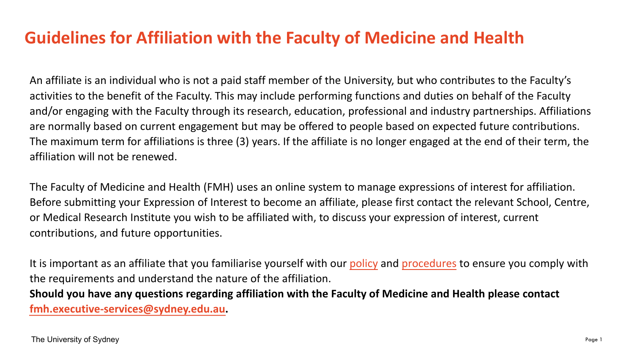#### **Guidelines for Affiliation with the Faculty of Medicine and Health**

An affiliate is an individual who is not a paid staff member of the University, but who contributes to the Faculty's activities to the benefit of the Faculty. This may include performing functions and duties on behalf of the Faculty and/or engaging with the Faculty through its research, education, professional and industry partnerships. Affiliations are normally based on current engagement but may be offered to people based on expected future contributions. The maximum term for affiliations is three (3) years. If the affiliate is no longer engaged at the end of their term, the affiliation will not be renewed.

The Faculty of Medicine and Health (FMH) uses an online system to manage expressions of interest for affiliation. Before submitting your Expression of Interest to become an affiliate, please first contact the relevant School, Centre, or Medical Research Institute you wish to be affiliated with, to discuss your expression of interest, current contributions, and future opportunities.

It is important as an affiliate that you familiarise yourself with our [policy](http://sydney.edu.au/policies/showdoc.aspx?recnum=PDOC2011/92&RendNum=0) and [procedures](http://sydney.edu.au/policies/showdoc.aspx?recnum=PDOC2013/314&RendNum=0) to ensure you comply with the requirements and understand the nature of the affiliation.

**Should you have any questions regarding affiliation with the Faculty of Medicine and Health please contact [fmh.executive-services@sydney.edu.au](mailto:fmh.executive-services@sydney.edu.au).**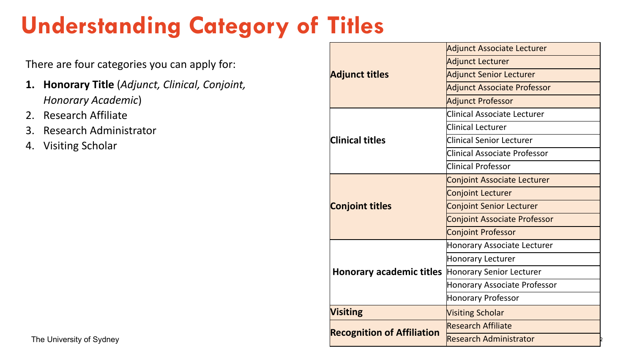# **Understanding Category of Titles**

There are four categories you can apply for:

- **1. Honorary Title** (*Adjunct, Clinical, Conjoint, Honorary Academic*)
- 2. Research Affiliate
- 3. Research Administrator
- 4. Visiting Scholar

| <b>Adjunct titles</b>             | Adjunct Associate Lecturer          |
|-----------------------------------|-------------------------------------|
|                                   | Adjunct Lecturer                    |
|                                   | <b>Adjunct Senior Lecturer</b>      |
|                                   | Adjunct Associate Professor         |
|                                   | <b>Adjunct Professor</b>            |
| <b>Clinical titles</b>            | <b>Clinical Associate Lecturer</b>  |
|                                   | Clinical Lecturer                   |
|                                   | <b>Clinical Senior Lecturer</b>     |
|                                   | <b>Clinical Associate Professor</b> |
|                                   | <b>Clinical Professor</b>           |
| <b>Conjoint titles</b>            | <b>Conjoint Associate Lecturer</b>  |
|                                   | <b>Conjoint Lecturer</b>            |
|                                   | <b>Conjoint Senior Lecturer</b>     |
|                                   | <b>Conjoint Associate Professor</b> |
|                                   | <b>Conjoint Professor</b>           |
| Honorary academic titles          | Honorary Associate Lecturer         |
|                                   | Honorary Lecturer                   |
|                                   | Honorary Senior Lecturer            |
|                                   | Honorary Associate Professor        |
|                                   | Honorary Professor                  |
| <b>Visiting</b>                   | <b>Visiting Scholar</b>             |
| <b>Recognition of Affiliation</b> | Research Affiliate                  |
|                                   | Research Administrator              |
|                                   |                                     |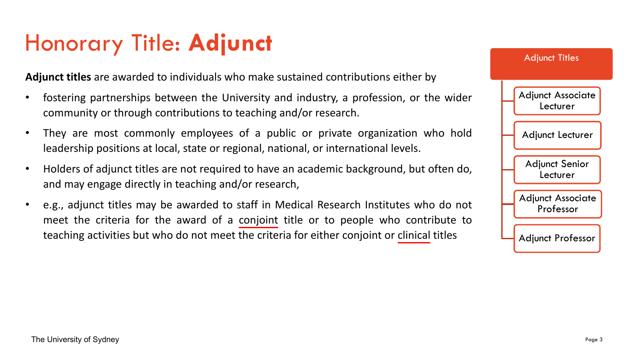## <span id="page-2-0"></span>Honorary Title: **Adjunct**

**Adjunct titles** are awarded to individuals who make sustained contributions either by

- fostering partnerships between the University and industry, a profession, or the wider community or through contributions to teaching and/or research.
- They are most commonly employees of a public or private organization who hold leadership positions at local, state or regional, national, or international levels.
- Holders of adjunct titles are not required to have an academic background, but often do, and may engage directly in teaching and/or research,
- e.g., adjunct titles may be awarded to staff in Medical Research Institutes who do not meet the criteria for the award of a [conjoint](#page-4-0) title or to people who contribute to teaching activities but who do not meet the criteria for either conjoint or [clinical](#page-3-0) titles

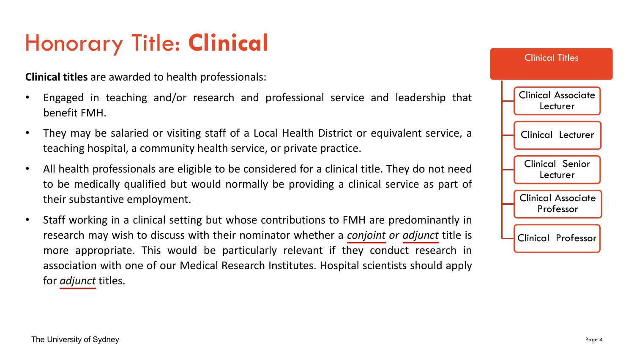## <span id="page-3-0"></span>Honorary Title: **Clinical**

**Clinical titles** are awarded to health professionals:

- Engaged in teaching and/or research and professional service and leadership that benefit FMH.
- They may be salaried or visiting staff of a Local Health District or equivalent service, a teaching hospital, a community health service, or private practice.
- All health professionals are eligible to be considered for a clinical title. They do not need to be medically qualified but would normally be providing a clinical service as part of their substantive employment.
- Staff working in a clinical setting but whose contributions to FMH are predominantly in research may wish to discuss with their nominator whether a *[conjoint](#page-4-0) or [adjunct](#page-2-0)* title is more appropriate. This would be particularly relevant if they conduct research in association with one of our Medical Research Institutes. Hospital scientists should apply for *[adjunct](#page-2-0)* titles.

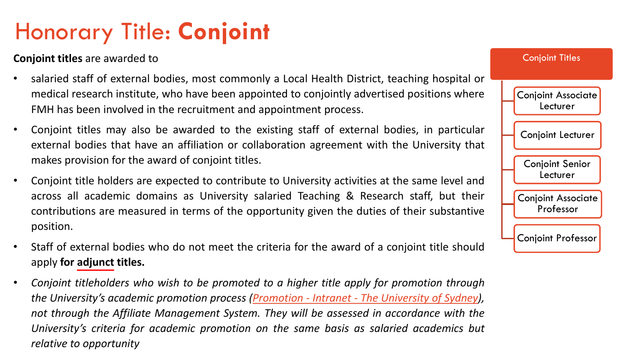## <span id="page-4-0"></span>Honorary Title: **Conjoint**

**Conjoint titles** are awarded to

- salaried staff of external bodies, most commonly a Local Health District, teaching hospital or medical research institute, who have been appointed to conjointly advertised positions where FMH has been involved in the recruitment and appointment process.
- Conjoint titles may also be awarded to the existing staff of external bodies, in particular external bodies that have an affiliation or collaboration agreement with the University that makes provision for the award of conjoint titles.
- Conjoint title holders are expected to contribute to University activities at the same level and across all academic domains as University salaried Teaching & Research staff, but their contributions are measured in terms of the opportunity given the duties of their substantive position.
- Staff of external bodies who do not meet the criteria for the award of a conjoint title should apply **for [adjunct](#page-2-0) titles.**
- *Conjoint titleholders who wish to be promoted to a higher title apply for promotion through the University's academic promotion process [\(Promotion](https://intranet.sydney.edu.au/careers-training/performance-planning-development/academic-staff/promotion.html) - Intranet - The University of Sydney), not through the Affiliate Management System. They will be assessed in accordance with the University's criteria for academic promotion on the same basis as salaried academics but relative to opportunity*